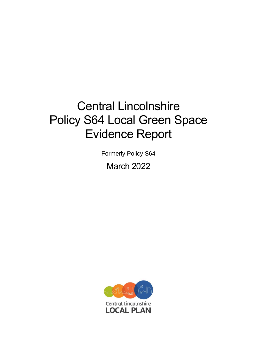# Central Lincolnshire Policy S64 Local Green Space Evidence Report

Formerly Policy S64

March 2022

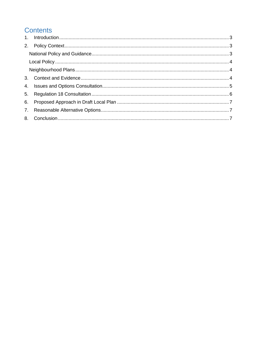# **Contents**

| 6. |  |
|----|--|
|    |  |
|    |  |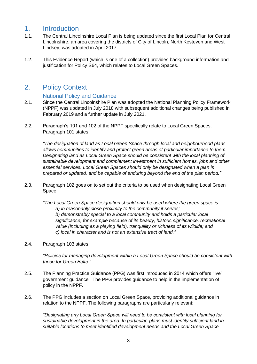# <span id="page-2-0"></span>1. Introduction

- 1.1. The Central Lincolnshire Local Plan is being updated since the first Local Plan for Central Lincolnshire, an area covering the districts of City of Lincoln, North Kesteven and West Lindsey, was adopted in April 2017.
- 1.2. This Evidence Report (which is one of a collection) provides background information and justification for Policy S64, which relates to Local Green Spaces.

# <span id="page-2-1"></span>2. Policy Context

## National Policy and Guidance

- <span id="page-2-2"></span>2.1. Since the Central Lincolnshire Plan was adopted the National Planning Policy Framework (NPPF) was updated in July 2018 with subsequent additional changes being published in February 2019 and a further update in July 2021.
- 2.2. Paragraph's 101 and 102 of the NPPF specifically relate to Local Green Spaces. Paragraph 101 states:

*"The designation of land as Local Green Space through local and neighbourhood plans allows communities to identify and protect green areas of particular importance to them. Designating land as Local Green Space should be consistent with the local planning of sustainable development and complement investment in sufficient homes, jobs and other essential services. Local Green Spaces should only be designated when a plan is prepared or updated, and be capable of enduring beyond the end of the plan period."*

2.3. Paragraph 102 goes on to set out the criteria to be used when designating Local Green Space:

*"The Local Green Space designation should only be used where the green space is: a) in reasonably close proximity to the community it serves; b) demonstrably special to a local community and holds a particular local significance, for example because of its beauty, historic significance, recreational value (including as a playing field), tranquillity or richness of its wildlife; and c) local in character and is not an extensive tract of land."*

2.4. Paragraph 103 states:

*"Policies for managing development within a Local Green Space should be consistent with those for Green Belts."*

- 2.5. The Planning Practice Guidance (PPG) was first introduced in 2014 which offers 'live' government guidance. The PPG provides guidance to help in the implementation of policy in the NPPF.
- 2.6. The PPG includes a section on Local Green Space, providing additional guidance in relation to the NPPF. The following paragraphs are particularly relevant:

*"Designating any Local Green Space will need to be consistent with local planning for sustainable development in the area. In particular, plans must identify sufficient land in suitable locations to meet identified development needs and the Local Green Space*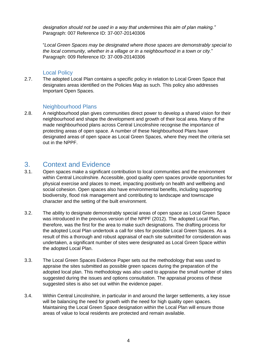*designation should not be used in a way that undermines this aim of plan making."* Paragraph: 007 Reference ID: 37-007-20140306

"*Local Green Spaces may be designated where those spaces are demonstrably special to the local community, whether in a village or in a neighbourhood in a town or city.*" Paragraph: 009 Reference ID: 37-009-20140306

### Local Policy

<span id="page-3-0"></span>2.7. The adopted Local Plan contains a specific policy in relation to Local Green Space that designates areas identified on the Policies Map as such. This policy also addresses Important Open Spaces.

#### Neighbourhood Plans

<span id="page-3-1"></span>2.8. A neighbourhood plan gives communities direct power to develop a shared vision for their neighbourhood and shape the development and growth of their local area. Many of the made neighbourhood plans across Central Lincolnshire recognise the importance of protecting areas of open space. A number of these Neighbourhood Plans have designated areas of open space as Local Green Spaces, where they meet the criteria set out in the NPPF.

## <span id="page-3-2"></span>3. Context and Evidence

- 3.1. Open spaces make a significant contribution to local communities and the environment within Central Lincolnshire. Accessible, good quality open spaces provide opportunities for physical exercise and places to meet, impacting positively on health and wellbeing and social cohesion. Open spaces also have environmental benefits, including supporting biodiversity, flood risk management and contributing to landscape and townscape character and the setting of the built environment.
- 3.2. The ability to designate demonstrably special areas of open space as Local Green Space was introduced in the previous version of the NPPF (2012). The adopted Local Plan, therefore, was the first for the area to make such designations. The drafting process for the adopted Local Plan undertook a call for sites for possible Local Green Spaces. As a result of this a thorough and robust appraisal of each site submitted for consideration was undertaken, a significant number of sites were designated as Local Green Space within the adopted Local Plan.
- 3.3. The Local Green Spaces Evidence Paper sets out the methodology that was used to appraise the sites submitted as possible green spaces during the preparation of the adopted local plan. This methodology was also used to appraise the small number of sites suggested during the issues and options consultation. The appraisal process of these suggested sites is also set out within the evidence paper.
- 3.4. Within Central Lincolnshire, in particular in and around the larger settlements, a key issue will be balancing the need for growth with the need for high quality open spaces. Maintaining the Local Green Space designation within the Local Plan will ensure those areas of value to local residents are protected and remain available.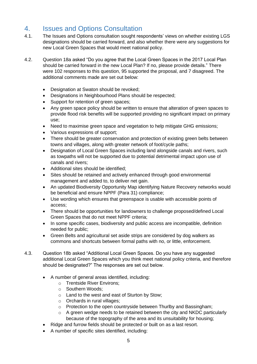# <span id="page-4-0"></span>4. Issues and Options Consultation

- 4.1. The Issues and Options consultation sought respondents' views on whether existing LGS designations should be carried forward, and also whether there were any suggestions for new Local Green Spaces that would meet national policy.
- 4.2. Question 18a asked "Do you agree that the Local Green Spaces in the 2017 Local Plan should be carried forward in the new Local Plan? If no, please provide details." There were 102 responses to this question, 95 supported the proposal, and 7 disagreed. The additional comments made are set out below:
	- Designation at Swaton should be revoked;
	- Designations in Neighbourhood Plans should be respected;
	- Support for retention of green spaces:
	- Any green space policy should be written to ensure that alteration of green spaces to provide flood risk benefits will be supported providing no significant impact on primary use;
	- Need to maximise green space and vegetation to help mitigate GHG emissions;
	- Various expressions of support;
	- There should be greater conservation and protection of existing green belts between towns and villages, along with greater network of foot/cycle paths;
	- Designation of Local Green Spaces including land alongside canals and rivers, such as towpaths will not be supported due to potential detrimental impact upon use of canals and rivers;
	- Additional sites should be identified;
	- Sites should be retained and actively enhanced through good environmental management and added to, to deliver net gain.
	- An updated Biodiversity Opportunity Map identifying Nature Recovery networks would be beneficial and ensure NPPF (Para 31) compliance;
	- Use wording which ensures that greenspace is usable with accessible points of access;
	- There should be opportunities for landowners to challenge proposed/defined Local Green Spaces that do not meet NPPF criteria;
	- In some specific cases, biodiversity and public access are incompatible, definition needed for public;
	- Green Belts and agricultural set aside strips are considered by dog walkers as commons and shortcuts between formal paths with no, or little, enforcement.
- 4.3. Question 18b asked "Additional Local Green Spaces. Do you have any suggested additional Local Green Spaces which you think meet national policy criteria, and therefore should be designated?" The responses are set out below.
	- A number of general areas identified, including:
		- o Trentside River Environs;
		- o Southern Woods;
		- o Land to the west and east of Sturton by Stow;
		- o Orchards in rural villages;
		- o Protection to the open countryside between Thurlby and Bassingham;
		- o A green wedge needs to be retained between the city and NKDC particularly because of the topography of the area and its unsuitability for housing;
	- Ridge and furrow fields should be protected or built on as a last resort.
	- A number of specific sites identified, including: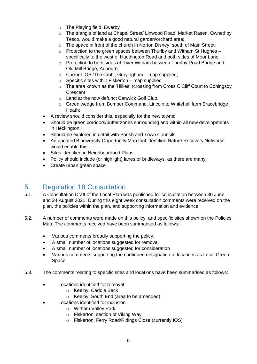- o The Playing field, Ewerby
- o The triangle of land at Chapel Street/ Linwood Road, Market Rasen. Owned by Tesco, would make a good natural garden/orchard area;
- o The space in front of the church in Norton Disney, south of Main Street;
- $\circ$  Protection to the green spaces between Thurlby and Witham St Hughes specifically to the west of Haddington Road and both sides of Moor Lane.
- $\circ$  Protection to both sides of River Witham between Thurlby Road Bridge and Old Mill Bridge, Aubourn;
- $\circ$  Current IOS 'The Croft', Grevingham map supplied:
- $\circ$  Specific sites within Fiskerton map supplied
- o The area known as the 'Hillies' (crossing from Cross O'Cliff Court to Coningsby **Crescent**
- o Land at the now defunct Canwick Golf Club.
- $\circ$  Green wedge from Bomber Command, Lincoln to Whitehall farm Bracebridge Heath;
- A review should consider this, especially for the new towns;
- Should be green corridors/buffer zones surrounding and within all new developments in Heckington;
- Should be explored in detail with Parish and Town Councils;
- An updated Biodiversity Opportunity Map that identified Nature Recovery Networks would enable this;
- Sites identified in Neighbourhood Plans
- Policy should include (or highlight) lanes or bridleways, as there are many;
- Create urban green space

# <span id="page-5-0"></span>5. Regulation 18 Consultation

- 5.1. A Consultation Draft of the Local Plan was published for consultation between 30 June and 24 August 2021. During this eight week consultation comments were received on the plan, the policies within the plan, and supporting information and evidence.
- 5.2. A number of comments were made on this policy, and specific sites shown on the Policies Map. The comments received have been summarised as follows:
	- Various comments broadly supporting the policy.
	- A small number of locations suggested for removal
	- A small number of locations suggested for consideration
	- Various comments supporting the continued designation of locations as Local Green Space
- 5.3. The comments relating to specific sites and locations have been summarised as follows:
	- Locations identified for removal
		- o Keelby, Caddle Beck
		- o Keelby, South End (area to be amended)
	- Locations identified for inclusion
		- o Witham Valley Park
			- o Fiskerton, section of Viking Way
			- o Fiskerton, Ferry Road/Ridings Close (currently IOS)